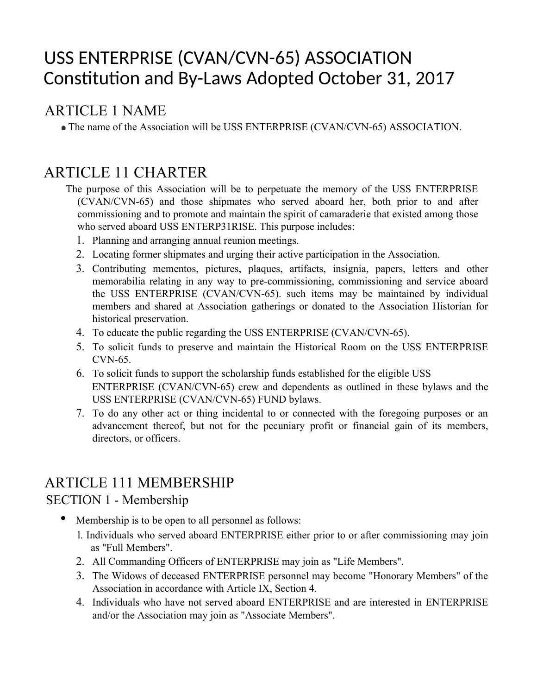# USS ENTERPRISE (CVAN/CVN-65) ASSOCIATION Constitution and By-Laws Adopted October 31, 2017

# ARTICLE 1 NAME

The name of the Association will be USS ENTERPRISE (CVAN/CVN-65) ASSOCIATION.

# ARTICLE 11 CHARTER

- The purpose of this Association will be to perpetuate the memory of the USS ENTERPRISE (CVAN/CVN-65) and those shipmates who served aboard her, both prior to and after commissioning and to promote and maintain the spirit of camaraderie that existed among those who served aboard USS ENTERP31RISE. This purpose includes:
	- 1. Planning and arranging annual reunion meetings.
	- 2. Locating former shipmates and urging their active participation in the Association.
	- 3. Contributing mementos, pictures, plaques, artifacts, insignia, papers, letters and other memorabilia relating in any way to pre-commissioning, commissioning and service aboard the USS ENTERPRISE (CVAN/CVN-65). such items may be maintained by individual members and shared at Association gatherings or donated to the Association Historian for historical preservation.
	- 4. To educate the public regarding the USS ENTERPRISE (CVAN/CVN-65).
	- 5. To solicit funds to preserve and maintain the Historical Room on the USS ENTERPRISE CVN-65.
	- 6. To solicit funds to support the scholarship funds established for the eligible USS ENTERPRISE (CVAN/CVN-65) crew and dependents as outlined in these bylaws and the USS ENTERPRISE (CVAN/CVN-65) FUND bylaws.
	- 7. To do any other act or thing incidental to or connected with the foregoing purposes or an advancement thereof, but not for the pecuniary profit or financial gain of its members, directors, or officers.

# ARTICLE 111 MEMBERSHIP

## SECTION 1 - Membership

- Membership is to be open to all personnel as follows:
	- l. Individuals who served aboard ENTERPRISE either prior to or after commissioning may join as "Full Members".
	- 2. All Commanding Officers of ENTERPRISE may join as "Life Members"
	- 3. The Widows of deceased ENTERPRISE personnel may become "Honorary Members" of the Association in accordance with Article IX, Section 4.
	- 4. Individuals who have not served aboard ENTERPRISE and are interested in ENTERPRISE and/or the Association may join as "Associate Members".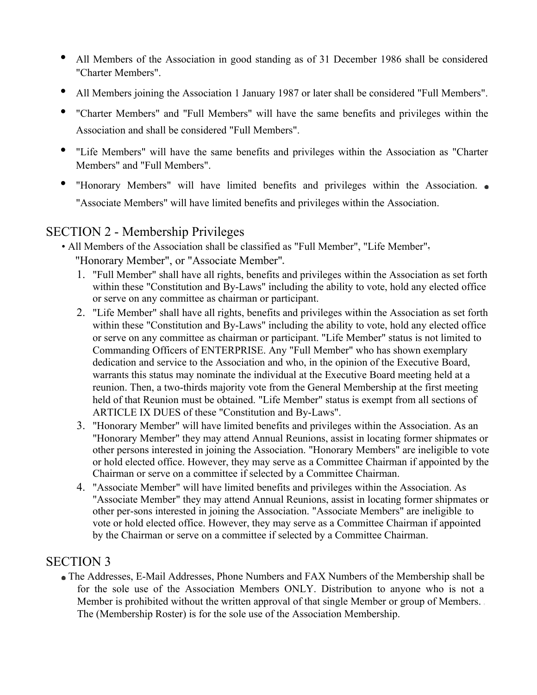- All Members of the Association in good standing as of 31 December 1986 shall be considered "Charter Members".
- All Members joining the Association 1 January 1987 or later shall be considered "Full Members".
- "Charter Members" and "Full Members" will have the same benefits and privileges within the Association and shall be considered "Full Members".
- "Life Members" will have the same benefits and privileges within the Association as "Charter Members" and "Full Members".
- "Honorary Members" will have limited benefits and privileges within the Association. "Associate Members" will have limited benefits and privileges within the Association.

#### SECTION 2 - Membership Privileges

- All Members of the Association shall be classified as "Full Member", "Life Member" "Honorary Member", or "Associate Member"
	- 1. "Full Member" shall have all rights, benefits and privileges within the Association as set forth within these "Constitution and By-Laws" including the ability to vote, hold any elected office or serve on any committee as chairman or participant.
	- 2. "Life Member" shall have all rights, benefits and privileges within the Association as set forth within these "Constitution and By-Laws" including the ability to vote, hold any elected office or serve on any committee as chairman or participant. "Life Member" status is not limited to Commanding Officers of ENTERPRISE. Any "Full Member" who has shown exemplary dedication and service to the Association and who, in the opinion of the Executive Board, warrants this status may nominate the individual at the Executive Board meeting held at a reunion. Then, a two-thirds majority vote from the General Membership at the first meeting held of that Reunion must be obtained. "Life Member" status is exempt from all sections of ARTICLE IX DUES of these "Constitution and By-Laws".
	- 3. "Honorary Member" will have limited benefits and privileges within the Association. As an "Honorary Member" they may attend Annual Reunions, assist in locating former shipmates or other persons interested in joining the Association. "Honorary Members" are ineligible to vote or hold elected office. However, they may serve as a Committee Chairman if appointed by the Chairman or serve on a committee if selected by a Committee Chairman.
	- 4. "Associate Member" will have limited benefits and privileges within the Association. As "Associate Member" they may attend Annual Reunions, assist in locating former shipmates or other per-sons interested in joining the Association. "Associate Members" are ineligible to vote or hold elected office. However, they may serve as a Committee Chairman if appointed by the Chairman or serve on a committee if selected by a Committee Chairman.

#### SECTION 3

 The Addresses, E-Mail Addresses, Phone Numbers and FAX Numbers of the Membership shall be for the sole use of the Association Members ONLY. Distribution to anyone who is not a Member is prohibited without the written approval of that single Member or group of Members. The (Membership Roster) is for the sole use of the Association Membership.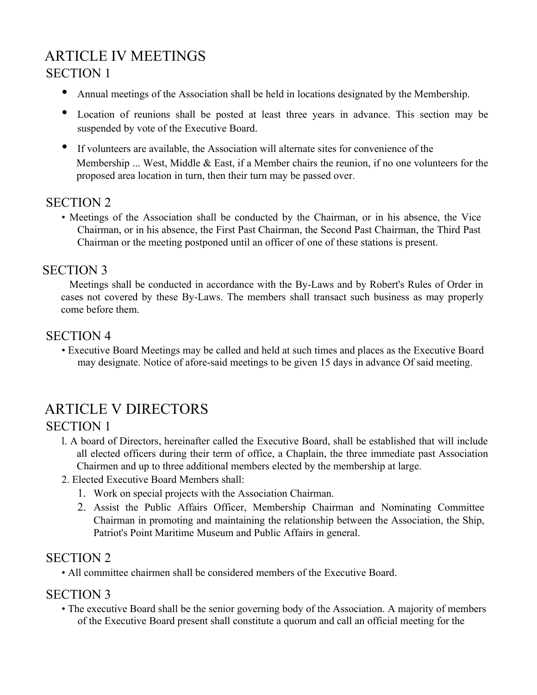# ARTICLE IV MEETINGS SECTION 1

- Annual meetings of the Association shall be held in locations designated by the Membership.
- Location of reunions shall be posted at least three years in advance. This section may be suspended by vote of the Executive Board.
- If volunteers are available, the Association will alternate sites for convenience of the Membership ... West, Middle & East, if a Member chairs the reunion, if no one volunteers for the proposed area location in turn, then their turn may be passed over.

### SECTION 2

• Meetings of the Association shall be conducted by the Chairman, or in his absence, the Vice Chairman, or in his absence, the First Past Chairman, the Second Past Chairman, the Third Past Chairman or the meeting postponed until an officer of one of these stations is present.

#### SECTION 3

 Meetings shall be conducted in accordance with the By-Laws and by Robert's Rules of Order in cases not covered by these By-Laws. The members shall transact such business as may properly come before them.

#### SECTION 4

• Executive Board Meetings may be called and held at such times and places as the Executive Board may designate. Notice of afore-said meetings to be given 15 days in advance Of said meeting.

# ARTICLE V DIRECTORS

#### SECTION 1

- l. A board of Directors, hereinafter called the Executive Board, shall be established that will include all elected officers during their term of office, a Chaplain, the three immediate past Association Chairmen and up to three additional members elected by the membership at large.
- 2. Elected Executive Board Members shall:
	- 1. Work on special projects with the Association Chairman.
	- 2. Assist the Public Affairs Officer, Membership Chairman and Nominating Committee Chairman in promoting and maintaining the relationship between the Association, the Ship, Patriot's Point Maritime Museum and Public Affairs in general.

## SECTION 2

• All committee chairmen shall be considered members of the Executive Board.

#### SECTION 3

• The executive Board shall be the senior governing body of the Association. A majority of members of the Executive Board present shall constitute a quorum and call an official meeting for the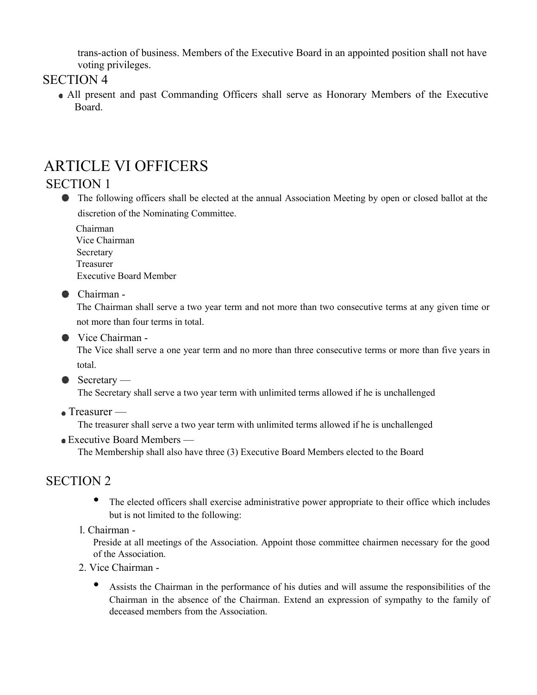trans-action of business. Members of the Executive Board in an appointed position shall not have voting privileges.

#### SECTION 4

 All present and past Commanding Officers shall serve as Honorary Members of the Executive Board.

# ARTICLE VI OFFICERS

#### SECTION 1

• The following officers shall be elected at the annual Association Meeting by open or closed ballot at the discretion of the Nominating Committee.

Chairman

Vice Chairman Secretary Treasurer Executive Board Member

Chairman -

The Chairman shall serve a two year term and not more than two consecutive terms at any given time or not more than four terms in total.

● Vice Chairman -

The Vice shall serve a one year term and no more than three consecutive terms or more than five years in total.

 $\bullet$  Secretary —

The Secretary shall serve a two year term with unlimited terms allowed if he is unchallenged

• Treasurer —

The treasurer shall serve a two year term with unlimited terms allowed if he is unchallenged

Executive Board Members —

The Membership shall also have three (3) Executive Board Members elected to the Board

## SECTION 2

- The elected officers shall exercise administrative power appropriate to their office which includes but is not limited to the following:
- l. Chairman -

Preside at all meetings of the Association. Appoint those committee chairmen necessary for the good of the Association.

- 2. Vice Chairman
	- Assists the Chairman in the performance of his duties and will assume the responsibilities of the Chairman in the absence of the Chairman. Extend an expression of sympathy to the family of deceased members from the Association.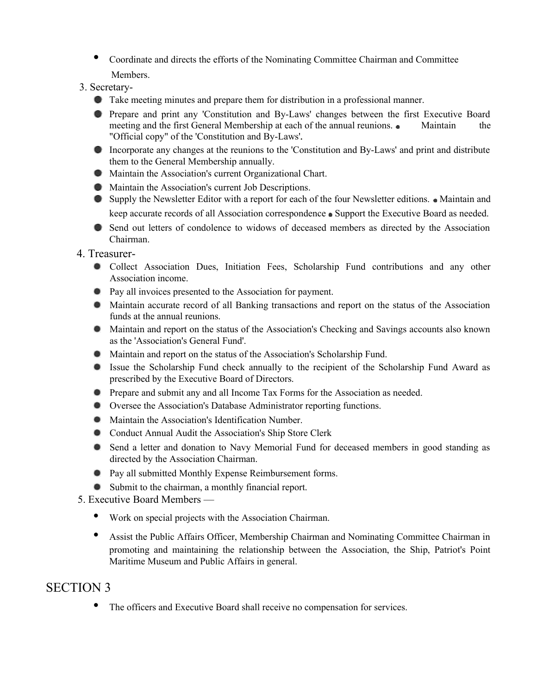- Coordinate and directs the efforts of the Nominating Committee Chairman and Committee Members.
- 3. Secretary-
	- Take meeting minutes and prepare them for distribution in a professional manner.
	- Prepare and print any 'Constitution and By-Laws' changes between the first Executive Board meeting and the first General Membership at each of the annual reunions. • Maintain the "Official copy" of the 'Constitution and By-Laws'
	- Incorporate any changes at the reunions to the 'Constitution and By-Laws' and print and distribute them to the General Membership annually.
	- Maintain the Association's current Organizational Chart.
	- Maintain the Association's current Job Descriptions.
	- Supply the Newsletter Editor with a report for each of the four Newsletter editions. Maintain and keep accurate records of all Association correspondence Support the Executive Board as needed.
	- Send out letters of condolence to widows of deceased members as directed by the Association Chairman.
- 4. Treasurer-
	- Collect Association Dues, Initiation Fees, Scholarship Fund contributions and any other Association income.
	- Pay all invoices presented to the Association for payment.
	- Maintain accurate record of all Banking transactions and report on the status of the Association funds at the annual reunions.
	- Maintain and report on the status of the Association's Checking and Savings accounts also known as the 'Association's General Fund'.
	- Maintain and report on the status of the Association's Scholarship Fund.
	- Issue the Scholarship Fund check annually to the recipient of the Scholarship Fund Award as prescribed by the Executive Board of Directors.
	- Prepare and submit any and all Income Tax Forms for the Association as needed.
	- Oversee the Association's Database Administrator reporting functions.
	- Maintain the Association's Identification Number.
	- **Conduct Annual Audit the Association's Ship Store Clerk**
	- Send a letter and donation to Navy Memorial Fund for deceased members in good standing as directed by the Association Chairman.
	- Pay all submitted Monthly Expense Reimbursement forms.
	- Submit to the chairman, a monthly financial report.
- 5. Executive Board Members
	- Work on special projects with the Association Chairman.
	- Assist the Public Affairs Officer, Membership Chairman and Nominating Committee Chairman in promoting and maintaining the relationship between the Association, the Ship, Patriot's Point Maritime Museum and Public Affairs in general.

## SECTION 3

• The officers and Executive Board shall receive no compensation for services.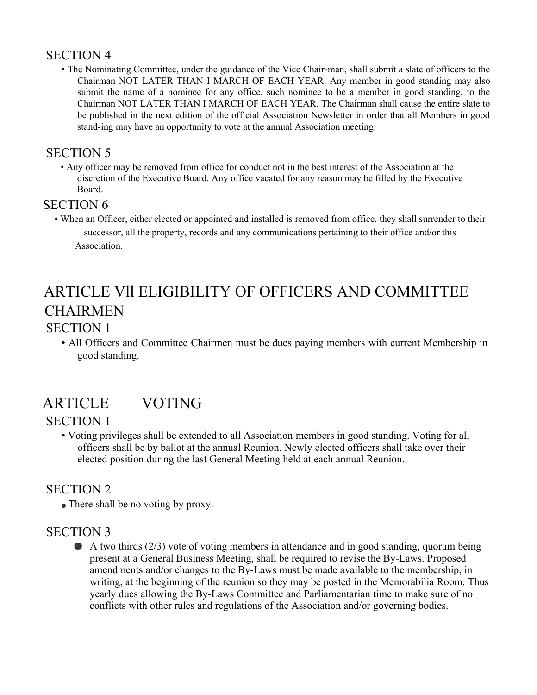### SECTION 4

• The Nominating Committee, under the guidance of the Vice Chair-man, shall submit a slate of officers to the Chairman NOT LATER THAN I MARCH OF EACH YEAR. Any member in good standing may also submit the name of a nominee for any office, such nominee to be a member in good standing, to the Chairman NOT LATER THAN I MARCH OF EACH YEAR. The Chairman shall cause the entire slate to be published in the next edition of the official Association Newsletter in order that all Members in good stand-ing may have an opportunity to vote at the annual Association meeting.

## SECTION 5

• Any officer may be removed from office for conduct not in the best interest of the Association at the discretion of the Executive Board. Any office vacated for any reason may be filled by the Executive Board.

#### SECTION 6

• When an Officer, either elected or appointed and installed is removed from office, they shall surrender to their successor, all the property, records and any communications pertaining to their office and/or this Association.

# ARTICLE Vll ELIGIBILITY OF OFFICERS AND COMMITTEE **CHAIRMEN**

## SECTION 1

• All Officers and Committee Chairmen must be dues paying members with current Membership in good standing.

# ARTICLE VOTING

# SECTION 1

• Voting privileges shall be extended to all Association members in good standing. Voting for all officers shall be by ballot at the annual Reunion. Newly elected officers shall take over their elected position during the last General Meeting held at each annual Reunion.

## SECTION 2

• There shall be no voting by proxy.

## SECTION 3

A two thirds  $(2/3)$  vote of voting members in attendance and in good standing, quorum being present at a General Business Meeting, shall be required to revise the By-Laws. Proposed amendments and/or changes to the By-Laws must be made available to the membership, in writing, at the beginning of the reunion so they may be posted in the Memorabilia Room. Thus yearly dues allowing the By-Laws Committee and Parliamentarian time to make sure of no conflicts with other rules and regulations of the Association and/or governing bodies.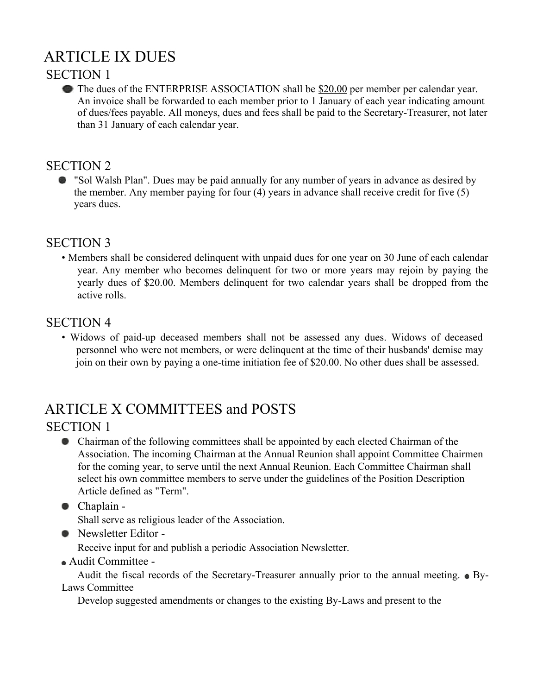# ARTICLE IX DUES

### SECTION 1

The dues of the ENTERPRISE ASSOCIATION shall be \$20.00 per member per calendar year. An invoice shall be forwarded to each member prior to 1 January of each year indicating amount of dues/fees payable. All moneys, dues and fees shall be paid to the Secretary-Treasurer, not later than 31 January of each calendar year.

## SECTION 2

"Sol Walsh Plan". Dues may be paid annually for any number of years in advance as desired by the member. Any member paying for four (4) years in advance shall receive credit for five (5) years dues.

# SECTION 3

• Members shall be considered delinquent with unpaid dues for one year on 30 June of each calendar year. Any member who becomes delinquent for two or more years may rejoin by paying the yearly dues of \$20.00. Members delinquent for two calendar years shall be dropped from the active rolls.

### SECTION 4

• Widows of paid-up deceased members shall not be assessed any dues. Widows of deceased personnel who were not members, or were delinquent at the time of their husbands' demise may join on their own by paying a one-time initiation fee of \$20.00. No other dues shall be assessed.

# ARTICLE X COMMITTEES and POSTS

## SECTION 1

- Chairman of the following committees shall be appointed by each elected Chairman of the Association. The incoming Chairman at the Annual Reunion shall appoint Committee Chairmen for the coming year, to serve until the next Annual Reunion. Each Committee Chairman shall select his own committee members to serve under the guidelines of the Position Description Article defined as "Term".
- Chaplain -

Shall serve as religious leader of the Association.

• Newsletter Editor -

Receive input for and publish a periodic Association Newsletter.

Audit Committee -

Audit the fiscal records of the Secretary-Treasurer annually prior to the annual meeting.  $\bullet$  By-Laws Committee

Develop suggested amendments or changes to the existing By-Laws and present to the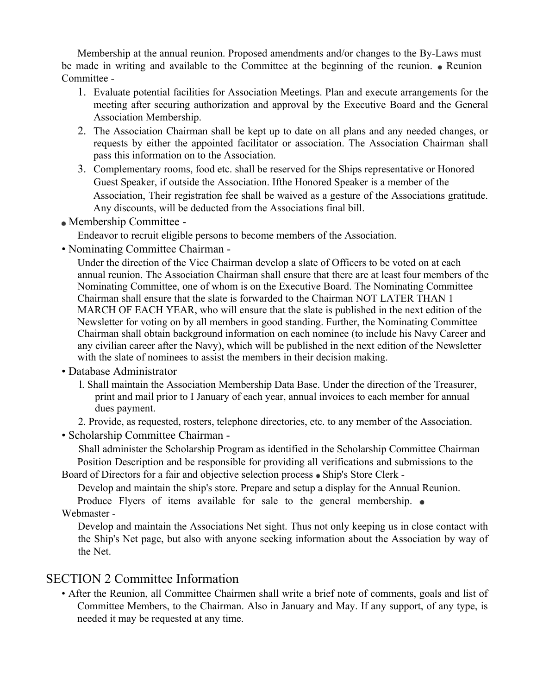Membership at the annual reunion. Proposed amendments and/or changes to the By-Laws must be made in writing and available to the Committee at the beginning of the reunion.  $\bullet$  Reunion Committee -

- 1. Evaluate potential facilities for Association Meetings. Plan and execute arrangements for the meeting after securing authorization and approval by the Executive Board and the General Association Membership.
- 2. The Association Chairman shall be kept up to date on all plans and any needed changes, or requests by either the appointed facilitator or association. The Association Chairman shall pass this information on to the Association.
- 3. Complementary rooms, food etc. shall be reserved for the Ships representative or Honored Guest Speaker, if outside the Association. Ifthe Honored Speaker is a member of the Association, Their registration fee shall be waived as a gesture of the Associations gratitude. Any discounts, will be deducted from the Associations final bill.
- Membership Committee -

Endeavor to recruit eligible persons to become members of the Association.

• Nominating Committee Chairman -

Under the direction of the Vice Chairman develop a slate of Officers to be voted on at each annual reunion. The Association Chairman shall ensure that there are at least four members of the Nominating Committee, one of whom is on the Executive Board. The Nominating Committee Chairman shall ensure that the slate is forwarded to the Chairman NOT LATER THAN 1 MARCH OF EACH YEAR, who will ensure that the slate is published in the next edition of the Newsletter for voting on by all members in good standing. Further, the Nominating Committee Chairman shall obtain background information on each nominee (to include his Navy Career and any civilian career after the Navy), which will be published in the next edition of the Newsletter with the slate of nominees to assist the members in their decision making.

- Database Administrator
	- l. Shall maintain the Association Membership Data Base. Under the direction of the Treasurer, print and mail prior to I January of each year, annual invoices to each member for annual dues payment.
	- 2. Provide, as requested, rosters, telephone directories, etc. to any member of the Association.
- Scholarship Committee Chairman -

Shall administer the Scholarship Program as identified in the Scholarship Committee Chairman Position Description and be responsible for providing all verifications and submissions to the

Board of Directors for a fair and objective selection process • Ship's Store Clerk -

Develop and maintain the ship's store. Prepare and setup a display for the Annual Reunion.

Produce Flyers of items available for sale to the general membership.  $\bullet$ Webmaster -

Develop and maintain the Associations Net sight. Thus not only keeping us in close contact with the Ship's Net page, but also with anyone seeking information about the Association by way of the Net.

#### SECTION 2 Committee Information

• After the Reunion, all Committee Chairmen shall write a brief note of comments, goals and list of Committee Members, to the Chairman. Also in January and May. If any support, of any type, is needed it may be requested at any time.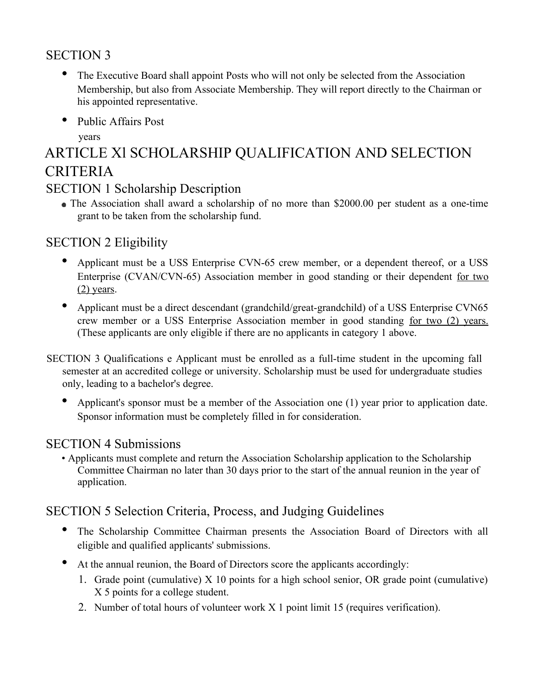# SECTION 3

- The Executive Board shall appoint Posts who will not only be selected from the Association Membership, but also from Associate Membership. They will report directly to the Chairman or his appointed representative.
- Public Affairs Post

years

# ARTICLE Xl SCHOLARSHIP QUALIFICATION AND SELECTION CRITERIA

### SECTION 1 Scholarship Description

 The Association shall award a scholarship of no more than \$2000.00 per student as a one-time grant to be taken from the scholarship fund.

# SECTION 2 Eligibility

- Applicant must be a USS Enterprise CVN-65 crew member, or a dependent thereof, or a USS Enterprise (CVAN/CVN-65) Association member in good standing or their dependent for two  $(2)$  years.
- Applicant must be a direct descendant (grandchild/great-grandchild) of a USS Enterprise CVN65 crew member or a USS Enterprise Association member in good standing for two (2) years. (These applicants are only eligible if there are no applicants in category 1 above.
- SECTION 3 Qualifications e Applicant must be enrolled as a full-time student in the upcoming fall semester at an accredited college or university. Scholarship must be used for undergraduate studies only, leading to a bachelor's degree.
	- Applicant's sponsor must be a member of the Association one (1) year prior to application date. Sponsor information must be completely filled in for consideration.

## SECTION 4 Submissions

• Applicants must complete and return the Association Scholarship application to the Scholarship Committee Chairman no later than 30 days prior to the start of the annual reunion in the year of application.

# SECTION 5 Selection Criteria, Process, and Judging Guidelines

- The Scholarship Committee Chairman presents the Association Board of Directors with all eligible and qualified applicants' submissions.
- At the annual reunion, the Board of Directors score the applicants accordingly:
	- 1. Grade point (cumulative) X 10 points for a high school senior, OR grade point (cumulative) X 5 points for a college student.
	- 2. Number of total hours of volunteer work X 1 point limit 15 (requires verification).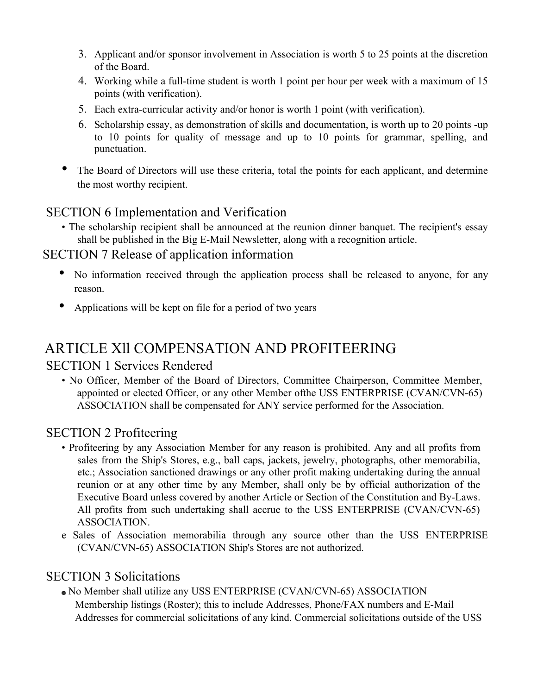- 3. Applicant and/or sponsor involvement in Association is worth 5 to 25 points at the discretion of the Board.
- 4. Working while a full-time student is worth 1 point per hour per week with a maximum of 15 points (with verification).
- 5. Each extra-curricular activity and/or honor is worth 1 point (with verification).
- 6. Scholarship essay, as demonstration of skills and documentation, is worth up to 20 points -up to 10 points for quality of message and up to 10 points for grammar, spelling, and punctuation.
- The Board of Directors will use these criteria, total the points for each applicant, and determine the most worthy recipient.

# SECTION 6 Implementation and Verification

• The scholarship recipient shall be announced at the reunion dinner banquet. The recipient's essay shall be published in the Big E-Mail Newsletter, along with a recognition article.

#### SECTION 7 Release of application information

- No information received through the application process shall be released to anyone, for any reason.
- Applications will be kept on file for a period of two years

# ARTICLE Xll COMPENSATION AND PROFITEERING

#### SECTION 1 Services Rendered

• No Officer, Member of the Board of Directors, Committee Chairperson, Committee Member, appointed or elected Officer, or any other Member ofthe USS ENTERPRISE (CVAN/CVN-65) ASSOCIATION shall be compensated for ANY service performed for the Association.

#### SECTION 2 Profiteering

- Profiteering by any Association Member for any reason is prohibited. Any and all profits from sales from the Ship's Stores, e.g., ball caps, jackets, jewelry, photographs, other memorabilia, etc.; Association sanctioned drawings or any other profit making undertaking during the annual reunion or at any other time by any Member, shall only be by official authorization of the Executive Board unless covered by another Article or Section of the Constitution and By-Laws. All profits from such undertaking shall accrue to the USS ENTERPRISE (CVAN/CVN-65) ASSOCIATION.
- e Sales of Association memorabilia through any source other than the USS ENTERPRISE (CVAN/CVN-65) ASSOCIATION Ship's Stores are not authorized.

#### SECTION 3 Solicitations

 No Member shall utilize any USS ENTERPRISE (CVAN/CVN-65) ASSOCIATION Membership listings (Roster); this to include Addresses, Phone/FAX numbers and E-Mail Addresses for commercial solicitations of any kind. Commercial solicitations outside of the USS